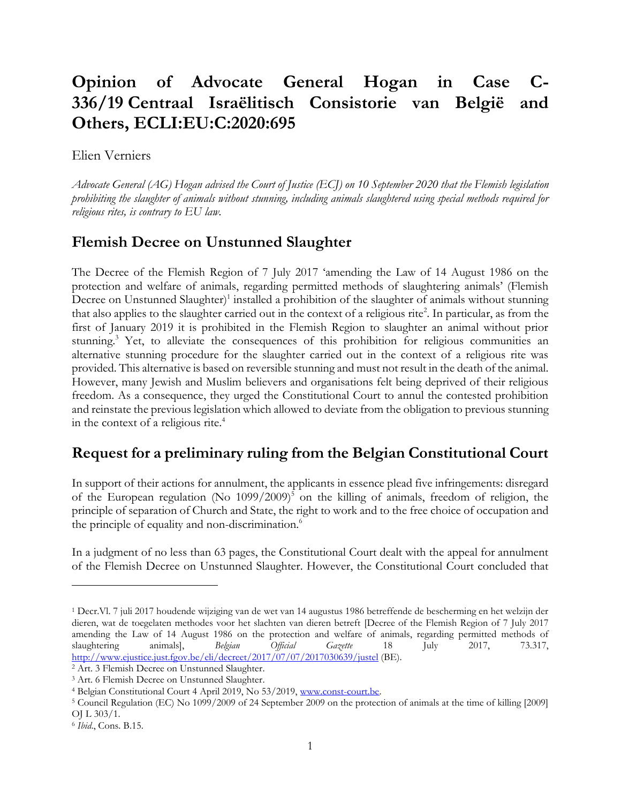# **Opinion of Advocate General Hogan in Case C-336/19 Centraal Israëlitisch Consistorie van België and Others, ECLI:EU:C:2020:695**

#### Elien Verniers

*Advocate General (AG) Hogan advised the Court of Justice (ECJ) on 10 September 2020 that the Flemish legislation prohibiting the slaughter of animals without stunning, including animals slaughtered using special methods required for religious rites, is contrary to EU law.*

#### **Flemish Decree on Unstunned Slaughter**

The Decree of the Flemish Region of 7 July 2017 'amending the Law of 14 August 1986 on the protection and welfare of animals, regarding permitted methods of slaughtering animals' (Flemish Decree on Unstunned Slaughter)<sup>1</sup> installed a prohibition of the slaughter of animals without stunning that also applies to the slaughter carried out in the context of a religious rite<sup>2</sup>. In particular, as from the first of January 2019 it is prohibited in the Flemish Region to slaughter an animal without prior stunning.<sup>3</sup> Yet, to alleviate the consequences of this prohibition for religious communities an alternative stunning procedure for the slaughter carried out in the context of a religious rite was provided. This alternative is based on reversible stunning and must not result in the death of the animal. However, many Jewish and Muslim believers and organisations felt being deprived of their religious freedom. As a consequence, they urged the Constitutional Court to annul the contested prohibition and reinstate the previous legislation which allowed to deviate from the obligation to previous stunning in the context of a religious rite.<sup>4</sup>

### **Request for a preliminary ruling from the Belgian Constitutional Court**

In support of their actions for annulment, the applicants in essence plead five infringements: disregard of the European regulation (No 1099/2009)<sup>5</sup> on the killing of animals, freedom of religion, the principle of separation of Church and State, the right to work and to the free choice of occupation and the principle of equality and non-discrimination.<sup>6</sup>

In a judgment of no less than 63 pages, the Constitutional Court dealt with the appeal for annulment of the Flemish Decree on Unstunned Slaughter. However, the Constitutional Court concluded that

<sup>1</sup> Decr.Vl. 7 juli 2017 houdende wijziging van de wet van 14 augustus 1986 betreffende de bescherming en het welzijn der dieren, wat de toegelaten methodes voor het slachten van dieren betreft [Decree of the Flemish Region of 7 July 2017 amending the Law of 14 August 1986 on the protection and welfare of animals, regarding permitted methods of slaughtering animals], *Belgian Official Gazette* 18 July 2017, 73.317, <http://www.ejustice.just.fgov.be/eli/decreet/2017/07/07/2017030639/justel> (BE).

<sup>2</sup> Art. 3 Flemish Decree on Unstunned Slaughter.

<sup>3</sup> Art. 6 Flemish Decree on Unstunned Slaughter.

<sup>4</sup> Belgian Constitutional Court 4 April 2019, No 53/2019, [www.const-court.be.](http://www.const-court.be/)

<sup>5</sup> Council Regulation (EC) No 1099/2009 of 24 September 2009 on the protection of animals at the time of killing [2009] OJ L 303/1.

<sup>6</sup> *Ibid*., Cons. B.15.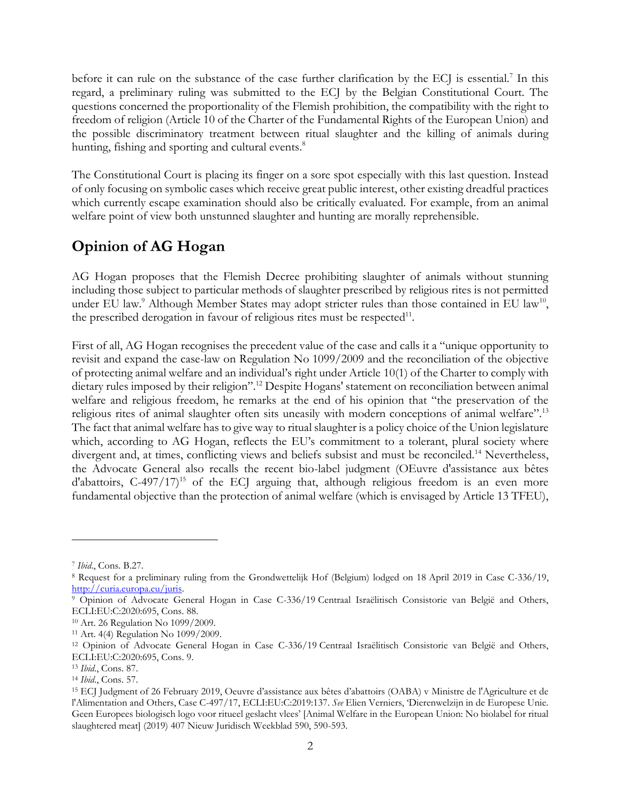before it can rule on the substance of the case further clarification by the ECJ is essential.<sup>7</sup> In this regard, a preliminary ruling was submitted to the ECJ by the Belgian Constitutional Court. The questions concerned the proportionality of the Flemish prohibition, the compatibility with the right to freedom of religion (Article 10 of the Charter of the Fundamental Rights of the European Union) and the possible discriminatory treatment between ritual slaughter and the killing of animals during hunting, fishing and sporting and cultural events.<sup>8</sup>

The Constitutional Court is placing its finger on a sore spot especially with this last question. Instead of only focusing on symbolic cases which receive great public interest, other existing dreadful practices which currently escape examination should also be critically evaluated. For example, from an animal welfare point of view both unstunned slaughter and hunting are morally reprehensible.

## **Opinion of AG Hogan**

AG Hogan proposes that the Flemish Decree prohibiting slaughter of animals without stunning including those subject to particular methods of slaughter prescribed by religious rites is not permitted under EU law.<sup>9</sup> Although Member States may adopt stricter rules than those contained in EU law<sup>10</sup>, the prescribed derogation in favour of religious rites must be respected $11$ .

First of all, AG Hogan recognises the precedent value of the case and calls it a "unique opportunity to revisit and expand the case-law on Regulation No 1099/2009 and the reconciliation of the objective of protecting animal welfare and an individual's right under Article 10(1) of the Charter to comply with dietary rules imposed by their religion".<sup>12</sup> Despite Hogans' statement on reconciliation between animal welfare and religious freedom, he remarks at the end of his opinion that "the preservation of the religious rites of animal slaughter often sits uneasily with modern conceptions of animal welfare".<sup>13</sup> The fact that animal welfare has to give way to ritual slaughter is a policy choice of the Union legislature which, according to AG Hogan, reflects the EU's commitment to a tolerant, plural society where divergent and, at times, conflicting views and beliefs subsist and must be reconciled.<sup>14</sup> Nevertheless, the Advocate General also recalls the recent bio-label judgment (OEuvre d'assistance aux bêtes d'abattoirs,  $C-497/17$ <sup>15</sup> of the ECJ arguing that, although religious freedom is an even more fundamental objective than the protection of animal welfare (which is envisaged by Article 13 TFEU),

<sup>7</sup> *Ibid*., Cons. B.27.

<sup>8</sup> Request for a preliminary ruling from the Grondwettelijk Hof (Belgium) lodged on 18 April 2019 in Case C-336/19, [http://curia.europa.eu/juris.](http://curia.europa.eu/juris) 

<sup>9</sup> Opinion of Advocate General Hogan in Case C-336/19 Centraal Israëlitisch Consistorie van België and Others, ECLI:EU:C:2020:695, Cons. 88.

<sup>10</sup> Art. 26 Regulation No 1099/2009.

<sup>11</sup> Art. 4(4) Regulation No 1099/2009.

<sup>12</sup> Opinion of Advocate General Hogan in Case C-336/19 Centraal Israëlitisch Consistorie van België and Others, ECLI:EU:C:2020:695, Cons. 9.

<sup>13</sup> *Ibid*., Cons. 87.

<sup>14</sup> *Ibid*., Cons. 57.

<sup>15</sup> ECJ Judgment of 26 February 2019, Oeuvre d'assistance aux bêtes d'abattoirs (OABA) v Ministre de l'Agriculture et de l'Alimentation and Others, Case C-497/17, ECLI:EU:C:2019:137. *See* Elien Verniers, 'Dierenwelzijn in de Europese Unie. Geen Europees biologisch logo voor ritueel geslacht vlees' [Animal Welfare in the European Union: No biolabel for ritual slaughtered meat] (2019) 407 Nieuw Juridisch Weekblad 590, 590-593.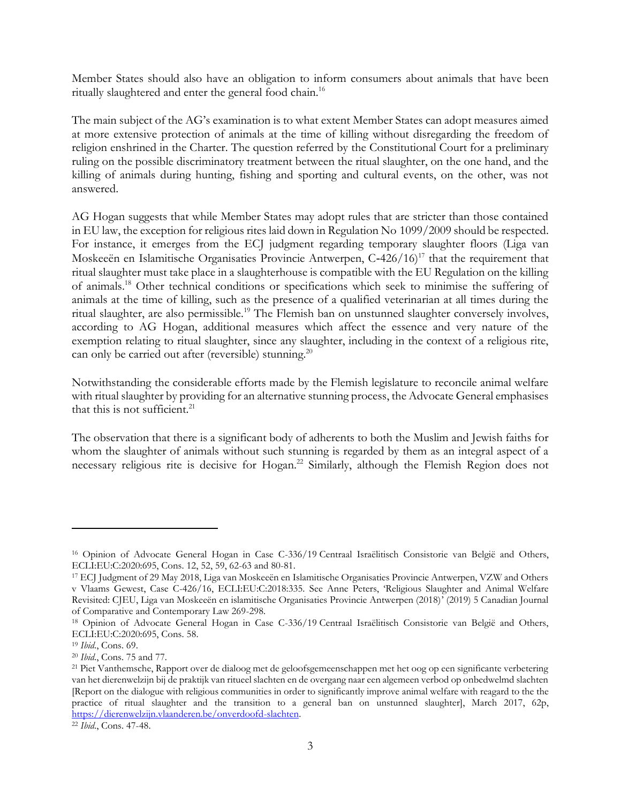Member States should also have an obligation to inform consumers about animals that have been ritually slaughtered and enter the general food chain.<sup>16</sup>

The main subject of the AG's examination is to what extent Member States can adopt measures aimed at more extensive protection of animals at the time of killing without disregarding the freedom of religion enshrined in the Charter. The question referred by the Constitutional Court for a preliminary ruling on the possible discriminatory treatment between the ritual slaughter, on the one hand, and the killing of animals during hunting, fishing and sporting and cultural events, on the other, was not answered.

AG Hogan suggests that while Member States may adopt rules that are stricter than those contained in EU law, the exception for religious rites laid down in Regulation No 1099/2009 should be respected. For instance, it emerges from the ECJ judgment regarding temporary slaughter floors (Liga van Moskeeën en Islamitische Organisaties Provincie Antwerpen, C-426/16)<sup>17</sup> that the requirement that ritual slaughter must take place in a slaughterhouse is compatible with the EU Regulation on the killing of animals.<sup>18</sup> Other technical conditions or specifications which seek to minimise the suffering of animals at the time of killing, such as the presence of a qualified veterinarian at all times during the ritual slaughter, are also permissible.<sup>19</sup> The Flemish ban on unstunned slaughter conversely involves, according to AG Hogan, additional measures which affect the essence and very nature of the exemption relating to ritual slaughter, since any slaughter, including in the context of a religious rite, can only be carried out after (reversible) stunning.<sup>20</sup>

Notwithstanding the considerable efforts made by the Flemish legislature to reconcile animal welfare with ritual slaughter by providing for an alternative stunning process, the Advocate General emphasises that this is not sufficient. $21$ 

The observation that there is a significant body of adherents to both the Muslim and Jewish faiths for whom the slaughter of animals without such stunning is regarded by them as an integral aspect of a necessary religious rite is decisive for Hogan.<sup>22</sup> Similarly, although the Flemish Region does not

<sup>16</sup> Opinion of Advocate General Hogan in Case C-336/19 Centraal Israëlitisch Consistorie van België and Others, ECLI:EU:C:2020:695, Cons. 12, 52, 59, 62-63 and 80-81.

<sup>17</sup> ECJ Judgment of 29 May 2018, Liga van Moskeeën en Islamitische Organisaties Provincie Antwerpen, VZW and Others v Vlaams Gewest, Case C-426/16, ECLI:EU:C:2018:335. See Anne Peters, 'Religious Slaughter and Animal Welfare Revisited: CJEU, Liga van Moskeeën en islamitische Organisaties Provincie Antwerpen (2018)' (2019) 5 Canadian Journal of Comparative and Contemporary Law 269-298.

<sup>18</sup> Opinion of Advocate General Hogan in Case C-336/19 Centraal Israëlitisch Consistorie van België and Others, ECLI:EU:C:2020:695, Cons. 58.

<sup>19</sup> *Ibid*., Cons. 69.

<sup>20</sup> *Ibid*., Cons. 75 and 77.

<sup>21</sup> Piet Vanthemsche, Rapport over de dialoog met de geloofsgemeenschappen met het oog op een significante verbetering van het dierenwelzijn bij de praktijk van ritueel slachten en de overgang naar een algemeen verbod op onbedwelmd slachten [Report on the dialogue with religious communities in order to significantly improve animal welfare with reagard to the the practice of ritual slaughter and the transition to a general ban on unstunned slaughter], March 2017, 62p, [https://dierenwelzijn.vlaanderen.be/onverdoofd-slachten.](https://dierenwelzijn.vlaanderen.be/onverdoofd-slachten) 

<sup>22</sup> *Ibid*., Cons. 47-48.